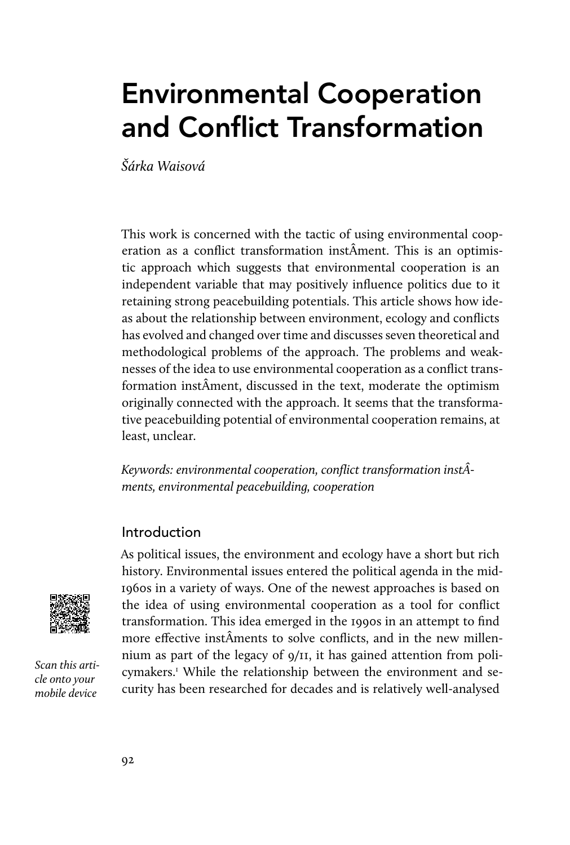# Environmental Cooperation and Conflict Transformation

Šárka Waisová

This work is concerned with the tactic of using environmental cooperation as a conflict transformation instÂment. This is an optimistic approach which suggests that environmental cooperation is an independent variable that may positively influence politics due to it retaining strong peacebuilding potentials. This article shows how ideas about the relationship between environment, ecology and conflicts has evolved and changed over time and discusses seven theoretical and methodological problems of the approach. The problems and weaknesses of the idea to use environmental cooperation as a conflict transformation instÂment, discussed in the text, moderate the optimism originally connected with the approach. It seems that the transformative peacebuilding potential of environmental cooperation remains, at least, unclear.

Keywords: environmental cooperation, conflict transformation instÂments, environmental peacebuilding, cooperation

## Introduction

As political issues, the environment and ecology have a short but rich history. Environmental issues entered the political agenda in the mid-1960s in a variety of ways. One of the newest approaches is based on the idea of using environmental cooperation as a tool for conflict transformation. This idea emerged in the 1990s in an attempt to find more effective instÂments to solve conflicts, and in the new millennium as part of the legacy of 9/11, it has gained attention from policymakers.<sup>1</sup> While the relationship between the environment and security has been researched for decades and is relatively well-analysed



Scan this article onto your mobile device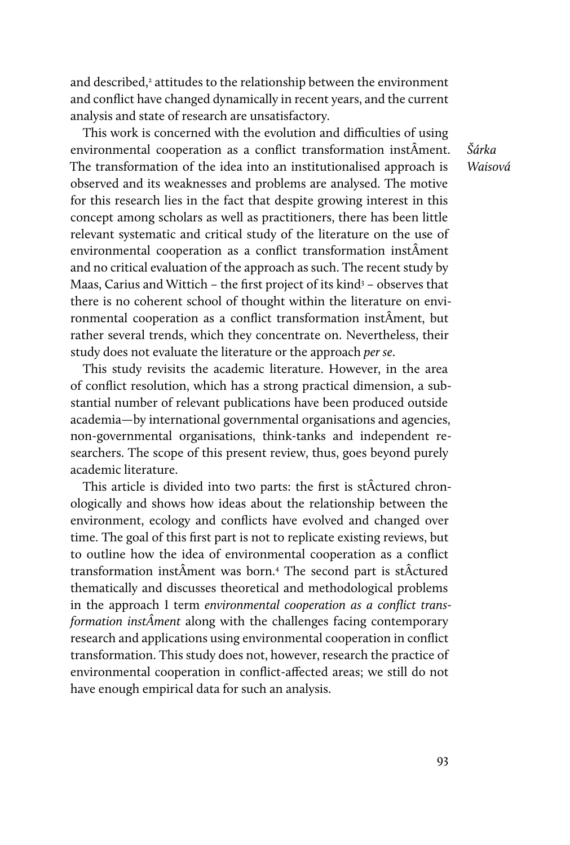and described,<sup>2</sup> attitudes to the relationship between the environment and conflict have changed dynamically in recent years, and the current analysis and state of research are unsatisfactory.

This work is concerned with the evolution and difficulties of using environmental cooperation as a conflict transformation instÂment. The transformation of the idea into an institutionalised approach is observed and its weaknesses and problems are analysed. The motive for this research lies in the fact that despite growing interest in this concept among scholars as well as practitioners, there has been little relevant systematic and critical study of the literature on the use of environmental cooperation as a conflict transformation instÂment and no critical evaluation of the approach as such. The recent study by Maas, Carius and Wittich – the first project of its kind $3$  – observes that there is no coherent school of thought within the literature on environmental cooperation as a conflict transformation instÂment, but rather several trends, which they concentrate on. Nevertheless, their study does not evaluate the literature or the approach per se.

This study revisits the academic literature. However, in the area of conflict resolution, which has a strong practical dimension, a substantial number of relevant publications have been produced outside academia—by international governmental organisations and agencies, non-governmental organisations, think-tanks and independent researchers. The scope of this present review, thus, goes beyond purely academic literature.

This article is divided into two parts: the first is stÂctured chronologically and shows how ideas about the relationship between the environment, ecology and conflicts have evolved and changed over time. The goal of this first part is not to replicate existing reviews, but to outline how the idea of environmental cooperation as a conflict transformation instÂment was born.4 The second part is stÂctured thematically and discusses theoretical and methodological problems in the approach I term environmental cooperation as a conflict transformation instÂment along with the challenges facing contemporary research and applications using environmental cooperation in conflict transformation. This study does not, however, research the practice of environmental cooperation in conflict-affected areas; we still do not have enough empirical data for such an analysis.

Šárka Waisová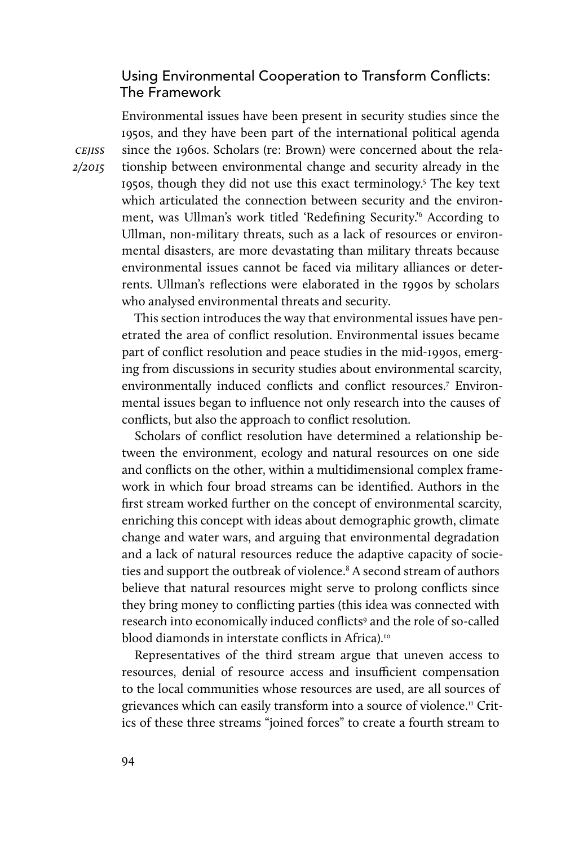## Using Environmental Cooperation to Transform Conflicts: The Framework

Environmental issues have been present in security studies since the 1950s, and they have been part of the international political agenda since the 1960s. Scholars (re: Brown) were concerned about the relationship between environmental change and security already in the 1950s, though they did not use this exact terminology.<sup>5</sup> The key text which articulated the connection between security and the environment, was Ullman's work titled 'Redefining Security.'6 According to Ullman, non-military threats, such as a lack of resources or environmental disasters, are more devastating than military threats because environmental issues cannot be faced via military alliances or deterrents. Ullman's reflections were elaborated in the 1990s by scholars who analysed environmental threats and security.

This section introduces the way that environmental issues have penetrated the area of conflict resolution. Environmental issues became part of conflict resolution and peace studies in the mid-1990s, emerging from discussions in security studies about environmental scarcity, environmentally induced conflicts and conflict resources.7 Environmental issues began to influence not only research into the causes of conflicts, but also the approach to conflict resolution.

Scholars of conflict resolution have determined a relationship between the environment, ecology and natural resources on one side and conflicts on the other, within a multidimensional complex framework in which four broad streams can be identified. Authors in the first stream worked further on the concept of environmental scarcity, enriching this concept with ideas about demographic growth, climate change and water wars, and arguing that environmental degradation and a lack of natural resources reduce the adaptive capacity of societies and support the outbreak of violence.<sup>8</sup> A second stream of authors believe that natural resources might serve to prolong conflicts since they bring money to conflicting parties (this idea was connected with research into economically induced conflicts<sup>9</sup> and the role of so-called blood diamonds in interstate conflicts in Africa).<sup>10</sup>

Representatives of the third stream argue that uneven access to resources, denial of resource access and insufficient compensation to the local communities whose resources are used, are all sources of grievances which can easily transform into a source of violence.<sup>11</sup> Critics of these three streams "joined forces" to create a fourth stream to

**CEJISS** 2/2015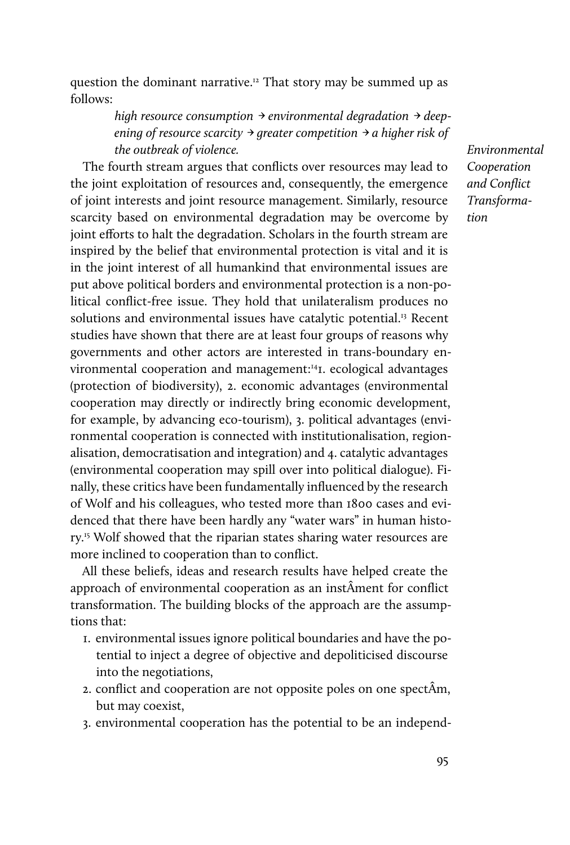question the dominant narrative.<sup>12</sup> That story may be summed up as follows:

> high resource consumption  $\rightarrow$  environmental degradation  $\rightarrow$  deepening of resource scarcity  $\rightarrow$  greater competition  $\rightarrow$  a higher risk of the outbreak of violence.

The fourth stream argues that conflicts over resources may lead to the joint exploitation of resources and, consequently, the emergence of joint interests and joint resource management. Similarly, resource scarcity based on environmental degradation may be overcome by joint efforts to halt the degradation. Scholars in the fourth stream are inspired by the belief that environmental protection is vital and it is in the joint interest of all humankind that environmental issues are put above political borders and environmental protection is a non-political conflict-free issue. They hold that unilateralism produces no solutions and environmental issues have catalytic potential.<sup>13</sup> Recent studies have shown that there are at least four groups of reasons why governments and other actors are interested in trans-boundary environmental cooperation and management:141. ecological advantages (protection of biodiversity), 2. economic advantages (environmental cooperation may directly or indirectly bring economic development, for example, by advancing eco-tourism), 3. political advantages (environmental cooperation is connected with institutionalisation, regionalisation, democratisation and integration) and 4. catalytic advantages (environmental cooperation may spill over into political dialogue). Finally, these critics have been fundamentally influenced by the research of Wolf and his colleagues, who tested more than 1800 cases and evidenced that there have been hardly any "water wars" in human history.15 Wolf showed that the riparian states sharing water resources are more inclined to cooperation than to conflict.

All these beliefs, ideas and research results have helped create the approach of environmental cooperation as an instÂment for conflict transformation. The building blocks of the approach are the assumptions that:

- 1. environmental issues ignore political boundaries and have the potential to inject a degree of objective and depoliticised discourse into the negotiations,
- 2. conflict and cooperation are not opposite poles on one spectÂm, but may coexist,
- 3. environmental cooperation has the potential to be an independ-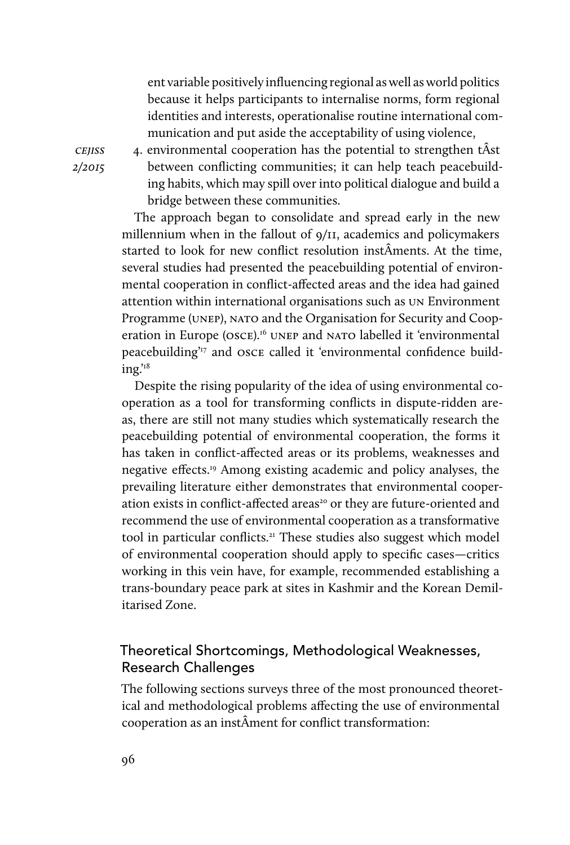ent variable positively influencing regional as well as world politics because it helps participants to internalise norms, form regional identities and interests, operationalise routine international communication and put aside the acceptability of using violence,

**CEJISS** 2/2015 4. environmental cooperation has the potential to strengthen tÂst between conflicting communities; it can help teach peacebuilding habits, which may spill over into political dialogue and build a bridge between these communities.

The approach began to consolidate and spread early in the new millennium when in the fallout of 9/11, academics and policymakers started to look for new conflict resolution instÂments. At the time, several studies had presented the peacebuilding potential of environmental cooperation in conflict-affected areas and the idea had gained attention within international organisations such as un Environment Programme (UNEP), NATO and the Organisation for Security and Cooperation in Europe (OSCE).<sup>16</sup> UNEP and NATO labelled it 'environmental peacebuilding'<sup>17</sup> and OSCE called it 'environmental confidence building.'18

Despite the rising popularity of the idea of using environmental cooperation as a tool for transforming conflicts in dispute-ridden areas, there are still not many studies which systematically research the peacebuilding potential of environmental cooperation, the forms it has taken in conflict-affected areas or its problems, weaknesses and negative effects.19 Among existing academic and policy analyses, the prevailing literature either demonstrates that environmental cooperation exists in conflict-affected areas<sup>20</sup> or they are future-oriented and recommend the use of environmental cooperation as a transformative tool in particular conflicts.<sup>21</sup> These studies also suggest which model of environmental cooperation should apply to specific cases—critics working in this vein have, for example, recommended establishing a trans-boundary peace park at sites in Kashmir and the Korean Demilitarised Zone.

# Theoretical Shortcomings, Methodological Weaknesses, Research Challenges

The following sections surveys three of the most pronounced theoretical and methodological problems affecting the use of environmental cooperation as an instÂment for conflict transformation: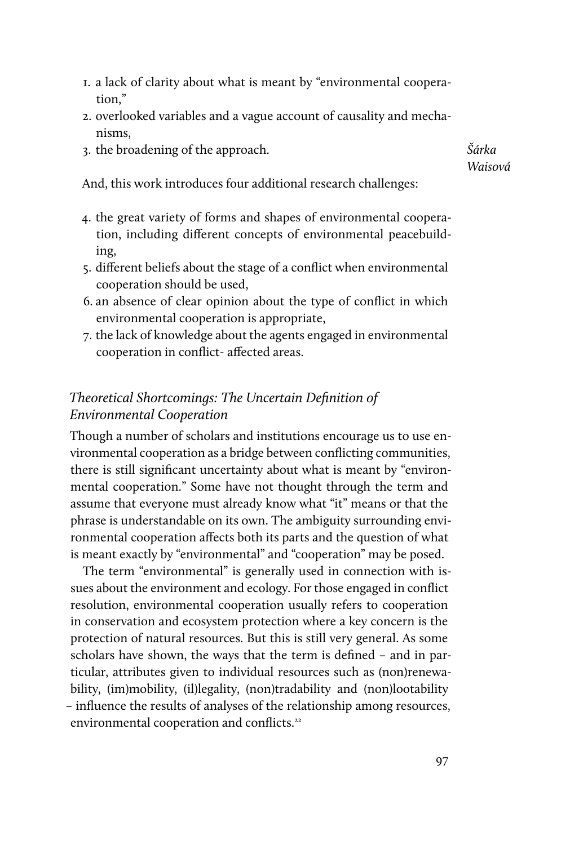- 1. a lack of clarity about what is meant by "environmental cooperation,"
- 2. overlooked variables and a vague account of causality and mechanisms,
- 3. the broadening of the approach.

Šárka Waisová

And, this work introduces four additional research challenges:

- 4. the great variety of forms and shapes of environmental cooperation, including different concepts of environmental peacebuilding,
- 5. different beliefs about the stage of a conflict when environmental cooperation should be used,
- 6. an absence of clear opinion about the type of conflict in which environmental cooperation is appropriate,
- 7. the lack of knowledge about the agents engaged in environmental cooperation in conflict- affected areas.

# Theoretical Shortcomings: The Uncertain Definition of Environmental Cooperation

Though a number of scholars and institutions encourage us to use environmental cooperation as a bridge between conflicting communities, there is still significant uncertainty about what is meant by "environmental cooperation." Some have not thought through the term and assume that everyone must already know what "it" means or that the phrase is understandable on its own. The ambiguity surrounding environmental cooperation affects both its parts and the question of what is meant exactly by "environmental" and "cooperation" may be posed.

The term "environmental" is generally used in connection with issues about the environment and ecology. For those engaged in conflict resolution, environmental cooperation usually refers to cooperation in conservation and ecosystem protection where a key concern is the protection of natural resources. But this is still very general. As some scholars have shown, the ways that the term is defined – and in particular, attributes given to individual resources such as (non)renewability, (im)mobility, (il)legality, (non)tradability and (non)lootability – influence the results of analyses of the relationship among resources, environmental cooperation and conflicts.<sup>22</sup>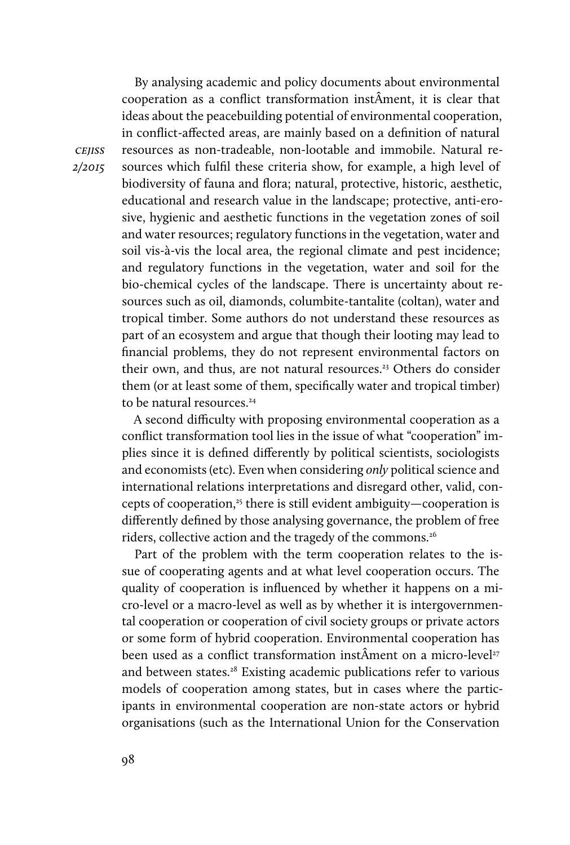By analysing academic and policy documents about environmental cooperation as a conflict transformation instÂment, it is clear that ideas about the peacebuilding potential of environmental cooperation, in conflict-affected areas, are mainly based on a definition of natural resources as non-tradeable, non-lootable and immobile. Natural resources which fulfil these criteria show, for example, a high level of biodiversity of fauna and flora; natural, protective, historic, aesthetic, educational and research value in the landscape; protective, anti-erosive, hygienic and aesthetic functions in the vegetation zones of soil and water resources; regulatory functions in the vegetation, water and soil vis-à-vis the local area, the regional climate and pest incidence; and regulatory functions in the vegetation, water and soil for the bio-chemical cycles of the landscape. There is uncertainty about resources such as oil, diamonds, columbite-tantalite (coltan), water and tropical timber. Some authors do not understand these resources as part of an ecosystem and argue that though their looting may lead to financial problems, they do not represent environmental factors on their own, and thus, are not natural resources.<sup>23</sup> Others do consider them (or at least some of them, specifically water and tropical timber) to be natural resources.<sup>24</sup>

A second difficulty with proposing environmental cooperation as a conflict transformation tool lies in the issue of what "cooperation" implies since it is defined differently by political scientists, sociologists and economists (etc). Even when considering only political science and international relations interpretations and disregard other, valid, concepts of cooperation,<sup>25</sup> there is still evident ambiguity—cooperation is differently defined by those analysing governance, the problem of free riders, collective action and the tragedy of the commons.<sup>26</sup>

Part of the problem with the term cooperation relates to the issue of cooperating agents and at what level cooperation occurs. The quality of cooperation is influenced by whether it happens on a micro-level or a macro-level as well as by whether it is intergovernmental cooperation or cooperation of civil society groups or private actors or some form of hybrid cooperation. Environmental cooperation has been used as a conflict transformation inst $\hat{A}$ ment on a micro-level<sup>27</sup> and between states.<sup>28</sup> Existing academic publications refer to various models of cooperation among states, but in cases where the participants in environmental cooperation are non-state actors or hybrid organisations (such as the International Union for the Conservation

**CEJISS** 2/2015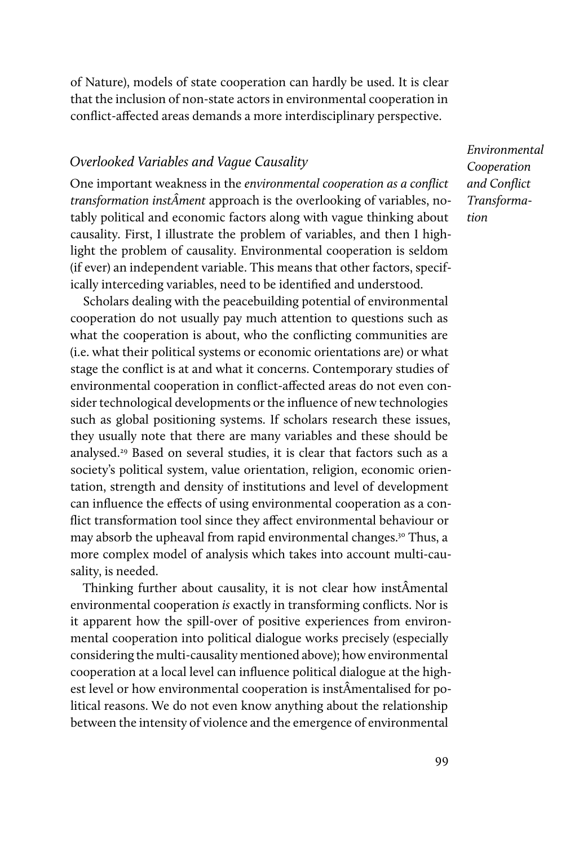of Nature), models of state cooperation can hardly be used. It is clear that the inclusion of non-state actors in environmental cooperation in conflict-affected areas demands a more interdisciplinary perspective.

#### Overlooked Variables and Vague Causality

One important weakness in the environmental cooperation as a conflict transformation instÂment approach is the overlooking of variables, notably political and economic factors along with vague thinking about causality. First, I illustrate the problem of variables, and then I highlight the problem of causality. Environmental cooperation is seldom (if ever) an independent variable. This means that other factors, specifically interceding variables, need to be identified and understood.

Scholars dealing with the peacebuilding potential of environmental cooperation do not usually pay much attention to questions such as what the cooperation is about, who the conflicting communities are (i.e. what their political systems or economic orientations are) or what stage the conflict is at and what it concerns. Contemporary studies of environmental cooperation in conflict-affected areas do not even consider technological developments or the influence of new technologies such as global positioning systems. If scholars research these issues, they usually note that there are many variables and these should be analysed.29 Based on several studies, it is clear that factors such as a society's political system, value orientation, religion, economic orientation, strength and density of institutions and level of development can influence the effects of using environmental cooperation as a conflict transformation tool since they affect environmental behaviour or may absorb the upheaval from rapid environmental changes.<sup>30</sup> Thus, a more complex model of analysis which takes into account multi-causality, is needed.

Thinking further about causality, it is not clear how instÂmental environmental cooperation is exactly in transforming conflicts. Nor is it apparent how the spill-over of positive experiences from environmental cooperation into political dialogue works precisely (especially considering the multi-causality mentioned above); how environmental cooperation at a local level can influence political dialogue at the highest level or how environmental cooperation is instÂmentalised for political reasons. We do not even know anything about the relationship between the intensity of violence and the emergence of environmental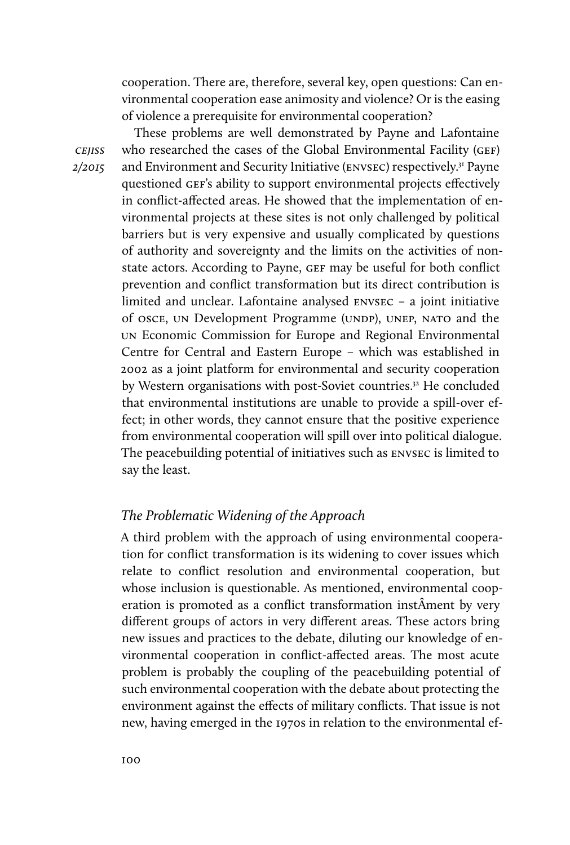cooperation. There are, therefore, several key, open questions: Can environmental cooperation ease animosity and violence? Or is the easing of violence a prerequisite for environmental cooperation?

These problems are well demonstrated by Payne and Lafontaine

cejiss who researched the cases of the Global Environmental Facility (GEF) and Environment and Security Initiative (envsec) respectively.31 Payne questioned gef's ability to support environmental projects effectively in conflict-affected areas. He showed that the implementation of environmental projects at these sites is not only challenged by political barriers but is very expensive and usually complicated by questions of authority and sovereignty and the limits on the activities of nonstate actors. According to Payne, GEF may be useful for both conflict prevention and conflict transformation but its direct contribution is limited and unclear. Lafontaine analysed envsec – a joint initiative of osce, un Development Programme (UNDP), UNEP, NATO and the un Economic Commission for Europe and Regional Environmental Centre for Central and Eastern Europe – which was established in 2002 as a joint platform for environmental and security cooperation by Western organisations with post-Soviet countries.<sup>32</sup> He concluded that environmental institutions are unable to provide a spill-over effect; in other words, they cannot ensure that the positive experience from environmental cooperation will spill over into political dialogue. The peacebuilding potential of initiatives such as envsec is limited to say the least.

#### The Problematic Widening of the Approach

A third problem with the approach of using environmental cooperation for conflict transformation is its widening to cover issues which relate to conflict resolution and environmental cooperation, but whose inclusion is questionable. As mentioned, environmental cooperation is promoted as a conflict transformation instÂment by very different groups of actors in very different areas. These actors bring new issues and practices to the debate, diluting our knowledge of environmental cooperation in conflict-affected areas. The most acute problem is probably the coupling of the peacebuilding potential of such environmental cooperation with the debate about protecting the environment against the effects of military conflicts. That issue is not new, having emerged in the 1970s in relation to the environmental ef-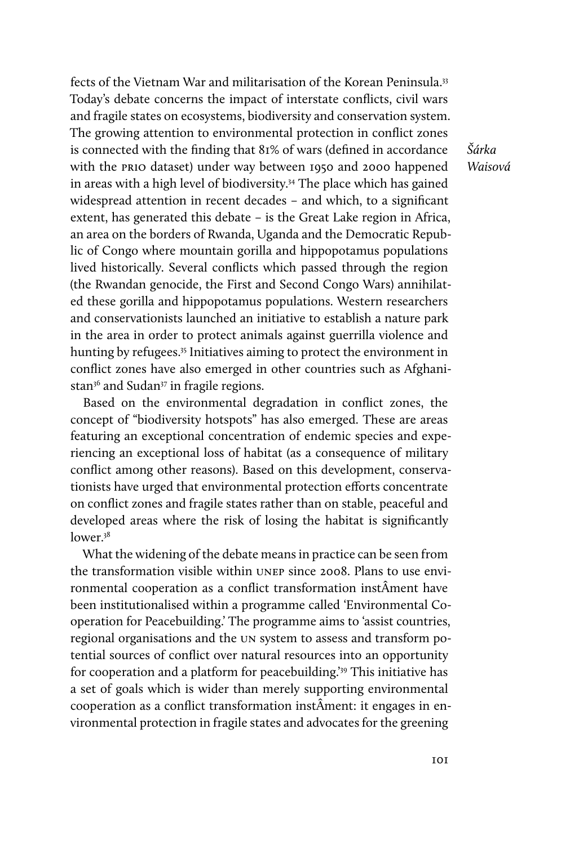fects of the Vietnam War and militarisation of the Korean Peninsula.33 Today's debate concerns the impact of interstate conflicts, civil wars and fragile states on ecosystems, biodiversity and conservation system. The growing attention to environmental protection in conflict zones is connected with the finding that 81% of wars (defined in accordance with the prio dataset) under way between 1950 and 2000 happened in areas with a high level of biodiversity.34 The place which has gained widespread attention in recent decades – and which, to a significant extent, has generated this debate – is the Great Lake region in Africa, an area on the borders of Rwanda, Uganda and the Democratic Republic of Congo where mountain gorilla and hippopotamus populations lived historically. Several conflicts which passed through the region (the Rwandan genocide, the First and Second Congo Wars) annihilated these gorilla and hippopotamus populations. Western researchers and conservationists launched an initiative to establish a nature park in the area in order to protect animals against guerrilla violence and hunting by refugees.<sup>35</sup> Initiatives aiming to protect the environment in conflict zones have also emerged in other countries such as Afghanistan<sup>36</sup> and Sudan<sup>37</sup> in fragile regions.

Based on the environmental degradation in conflict zones, the concept of "biodiversity hotspots" has also emerged. These are areas featuring an exceptional concentration of endemic species and experiencing an exceptional loss of habitat (as a consequence of military conflict among other reasons). Based on this development, conservationists have urged that environmental protection efforts concentrate on conflict zones and fragile states rather than on stable, peaceful and developed areas where the risk of losing the habitat is significantly lower.38

What the widening of the debate means in practice can be seen from the transformation visible within unep since 2008. Plans to use environmental cooperation as a conflict transformation instÂment have been institutionalised within a programme called 'Environmental Cooperation for Peacebuilding.' The programme aims to 'assist countries, regional organisations and the un system to assess and transform potential sources of conflict over natural resources into an opportunity for cooperation and a platform for peacebuilding.'39 This initiative has a set of goals which is wider than merely supporting environmental cooperation as a conflict transformation instÂment: it engages in environmental protection in fragile states and advocates for the greening

Šárka Waisová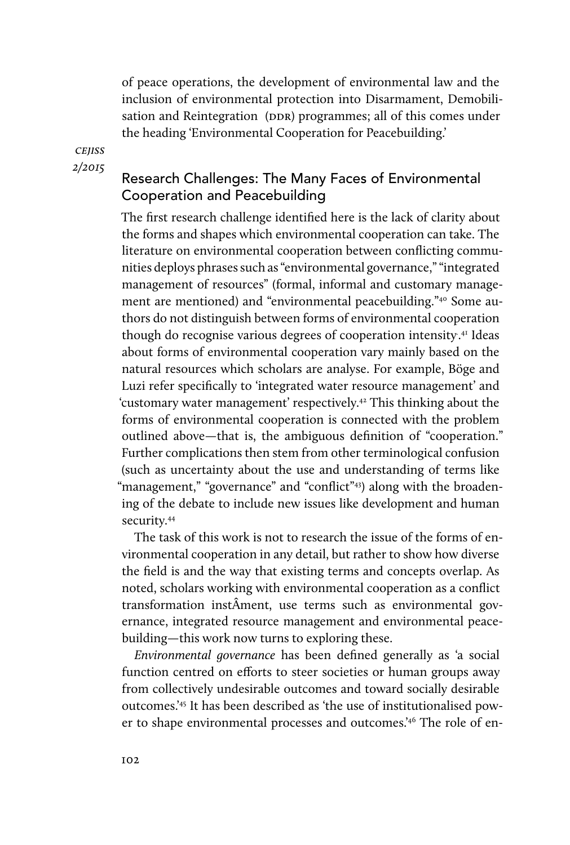of peace operations, the development of environmental law and the inclusion of environmental protection into Disarmament, Demobilisation and Reintegration (DDR) programmes; all of this comes under the heading 'Environmental Cooperation for Peacebuilding.'

**CEJISS** 2/2015

# Research Challenges: The Many Faces of Environmental Cooperation and Peacebuilding

The first research challenge identified here is the lack of clarity about the forms and shapes which environmental cooperation can take. The literature on environmental cooperation between conflicting communities deploys phrases such as "environmental governance," "integrated management of resources" (formal, informal and customary management are mentioned) and "environmental peacebuilding."40 Some authors do not distinguish between forms of environmental cooperation though do recognise various degrees of cooperation intensity.<sup>41</sup> Ideas about forms of environmental cooperation vary mainly based on the natural resources which scholars are analyse. For example, Böge and Luzi refer specifically to 'integrated water resource management' and 'customary water management' respectively.42 This thinking about the forms of environmental cooperation is connected with the problem outlined above—that is, the ambiguous definition of "cooperation." Further complications then stem from other terminological confusion (such as uncertainty about the use and understanding of terms like "management," "governance" and "conflict"<sup>43</sup>) along with the broadening of the debate to include new issues like development and human security.44

The task of this work is not to research the issue of the forms of environmental cooperation in any detail, but rather to show how diverse the field is and the way that existing terms and concepts overlap. As noted, scholars working with environmental cooperation as a conflict transformation instÂment, use terms such as environmental governance, integrated resource management and environmental peacebuilding—this work now turns to exploring these.

Environmental governance has been defined generally as 'a social function centred on efforts to steer societies or human groups away from collectively undesirable outcomes and toward socially desirable outcomes.'45 It has been described as 'the use of institutionalised power to shape environmental processes and outcomes.'46 The role of en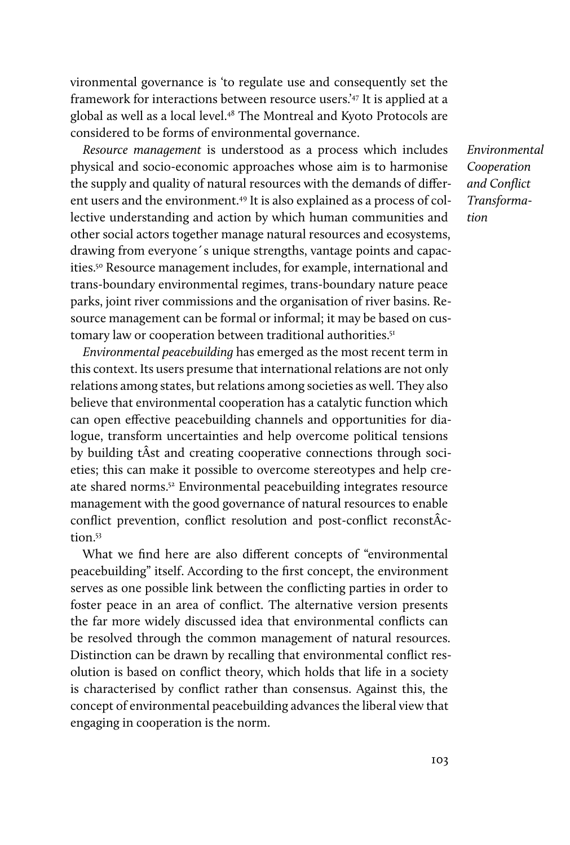vironmental governance is 'to regulate use and consequently set the framework for interactions between resource users.'47 It is applied at a global as well as a local level.<sup>48</sup> The Montreal and Kyoto Protocols are considered to be forms of environmental governance.

Resource management is understood as a process which includes physical and socio-economic approaches whose aim is to harmonise the supply and quality of natural resources with the demands of different users and the environment.<sup>49</sup> It is also explained as a process of collective understanding and action by which human communities and other social actors together manage natural resources and ecosystems, drawing from everyone´s unique strengths, vantage points and capacities.50 Resource management includes, for example, international and trans-boundary environmental regimes, trans-boundary nature peace parks, joint river commissions and the organisation of river basins. Resource management can be formal or informal; it may be based on customary law or cooperation between traditional authorities.<sup>51</sup>

Environmental peacebuilding has emerged as the most recent term in this context. Its users presume that international relations are not only relations among states, but relations among societies as well. They also believe that environmental cooperation has a catalytic function which can open effective peacebuilding channels and opportunities for dialogue, transform uncertainties and help overcome political tensions by building tÂst and creating cooperative connections through societies; this can make it possible to overcome stereotypes and help create shared norms.52 Environmental peacebuilding integrates resource management with the good governance of natural resources to enable conflict prevention, conflict resolution and post-conflict reconstÂction.53

What we find here are also different concepts of "environmental peacebuilding" itself. According to the first concept, the environment serves as one possible link between the conflicting parties in order to foster peace in an area of conflict. The alternative version presents the far more widely discussed idea that environmental conflicts can be resolved through the common management of natural resources. Distinction can be drawn by recalling that environmental conflict resolution is based on conflict theory, which holds that life in a society is characterised by conflict rather than consensus. Against this, the concept of environmental peacebuilding advances the liberal view that engaging in cooperation is the norm.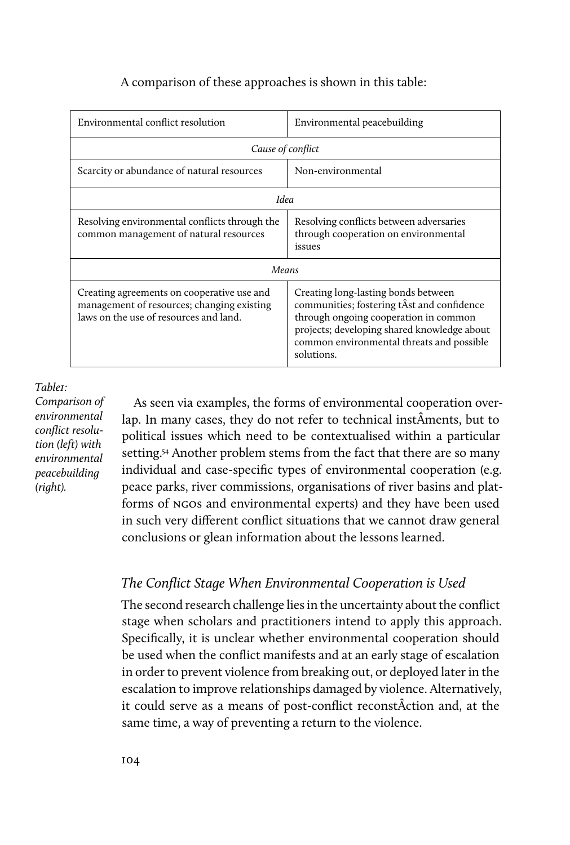## A comparison of these approaches is shown in this table:

| Environmental conflict resolution                                                                                                  | Environmental peacebuilding                                                                                                                                                                                                          |
|------------------------------------------------------------------------------------------------------------------------------------|--------------------------------------------------------------------------------------------------------------------------------------------------------------------------------------------------------------------------------------|
| Cause of conflict                                                                                                                  |                                                                                                                                                                                                                                      |
| Scarcity or abundance of natural resources                                                                                         | Non-environmental                                                                                                                                                                                                                    |
| Idea                                                                                                                               |                                                                                                                                                                                                                                      |
| Resolving environmental conflicts through the<br>common management of natural resources                                            | Resolving conflicts between adversaries<br>through cooperation on environmental<br>issues                                                                                                                                            |
| <b>Means</b>                                                                                                                       |                                                                                                                                                                                                                                      |
| Creating agreements on cooperative use and<br>management of resources; changing existing<br>laws on the use of resources and land. | Creating long-lasting bonds between<br>communities; fostering tÂst and confidence<br>through ongoing cooperation in common<br>projects; developing shared knowledge about<br>common environmental threats and possible<br>solutions. |

#### Table<sub>1</sub>:

Comparison of environmental conflict resolution (left) with environmental peacebuilding (right).

As seen via examples, the forms of environmental cooperation overlap. In many cases, they do not refer to technical instÂments, but to political issues which need to be contextualised within a particular setting.<sup>54</sup> Another problem stems from the fact that there are so many individual and case-specific types of environmental cooperation (e.g. peace parks, river commissions, organisations of river basins and platforms of ngos and environmental experts) and they have been used in such very different conflict situations that we cannot draw general conclusions or glean information about the lessons learned.

# The Conflict Stage When Environmental Cooperation is Used

The second research challenge lies in the uncertainty about the conflict stage when scholars and practitioners intend to apply this approach. Specifically, it is unclear whether environmental cooperation should be used when the conflict manifests and at an early stage of escalation in order to prevent violence from breaking out, or deployed later in the escalation to improve relationships damaged by violence. Alternatively, it could serve as a means of post-conflict reconstÂction and, at the same time, a way of preventing a return to the violence.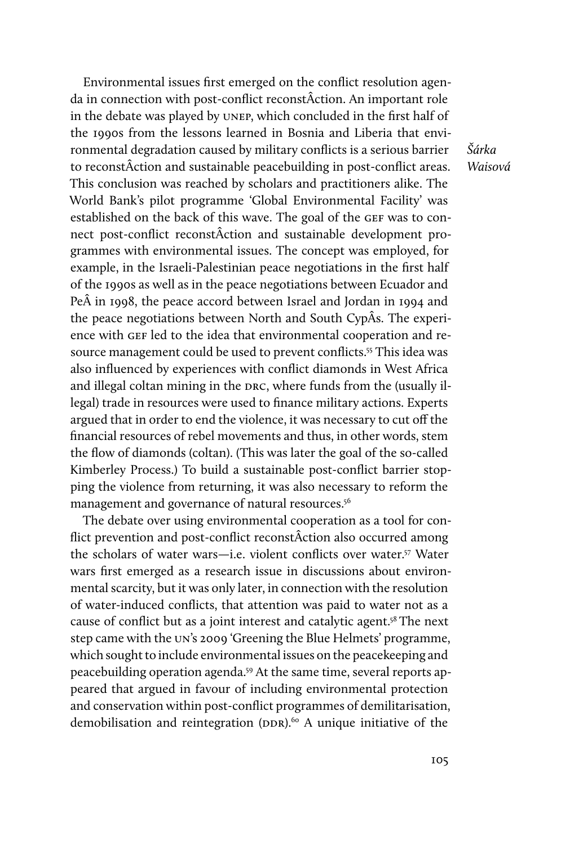Environmental issues first emerged on the conflict resolution agenda in connection with post-conflict reconstÂction. An important role in the debate was played by unep, which concluded in the first half of the 1990s from the lessons learned in Bosnia and Liberia that environmental degradation caused by military conflicts is a serious barrier to reconstÂction and sustainable peacebuilding in post-conflict areas. This conclusion was reached by scholars and practitioners alike. The World Bank's pilot programme 'Global Environmental Facility' was established on the back of this wave. The goal of the GEF was to connect post-conflict reconstÂction and sustainable development programmes with environmental issues. The concept was employed, for example, in the Israeli-Palestinian peace negotiations in the first half of the 1990s as well as in the peace negotiations between Ecuador and Pe $\hat{A}$  in 1998, the peace accord between Israel and Jordan in 1994 and the peace negotiations between North and South CypÂs. The experience with GEF led to the idea that environmental cooperation and resource management could be used to prevent conflicts.<sup>55</sup> This idea was also influenced by experiences with conflict diamonds in West Africa and illegal coltan mining in the DRC, where funds from the (usually illegal) trade in resources were used to finance military actions. Experts argued that in order to end the violence, it was necessary to cut off the financial resources of rebel movements and thus, in other words, stem the flow of diamonds (coltan). (This was later the goal of the so-called Kimberley Process.) To build a sustainable post-conflict barrier stopping the violence from returning, it was also necessary to reform the management and governance of natural resources.<sup>56</sup>

The debate over using environmental cooperation as a tool for conflict prevention and post-conflict reconstÂction also occurred among the scholars of water wars—i.e. violent conflicts over water.57 Water wars first emerged as a research issue in discussions about environmental scarcity, but it was only later, in connection with the resolution of water-induced conflicts, that attention was paid to water not as a cause of conflict but as a joint interest and catalytic agent.58 The next step came with the un's 2009 'Greening the Blue Helmets' programme, which sought to include environmental issues on the peacekeeping and peacebuilding operation agenda.59 At the same time, several reports appeared that argued in favour of including environmental protection and conservation within post-conflict programmes of demilitarisation, demobilisation and reintegration ( $DDR$ ).<sup>60</sup> A unique initiative of the

Šárka Waisová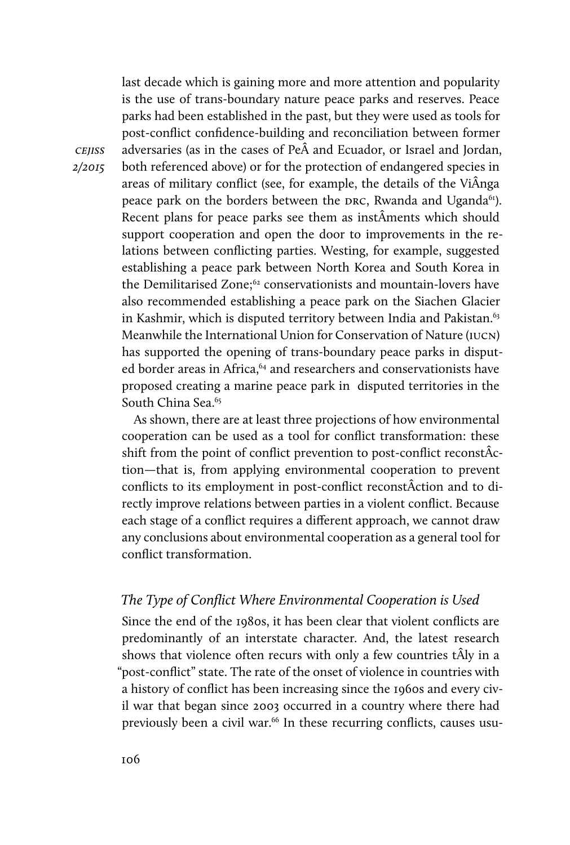last decade which is gaining more and more attention and popularity is the use of trans-boundary nature peace parks and reserves. Peace parks had been established in the past, but they were used as tools for post-conflict confidence-building and reconciliation between former adversaries (as in the cases of Pe and Ecuador, or Israel and Jordan, both referenced above) or for the protection of endangered species in areas of military conflict (see, for example, the details of the ViÂnga peace park on the borders between the DRC, Rwanda and Uganda<sup>61</sup>). Recent plans for peace parks see them as instÂments which should support cooperation and open the door to improvements in the relations between conflicting parties. Westing, for example, suggested establishing a peace park between North Korea and South Korea in the Demilitarised Zone;<sup>62</sup> conservationists and mountain-lovers have also recommended establishing a peace park on the Siachen Glacier in Kashmir, which is disputed territory between India and Pakistan.<sup>63</sup> Meanwhile the International Union for Conservation of Nature (iucn) has supported the opening of trans-boundary peace parks in disputed border areas in Africa,<sup>64</sup> and researchers and conservationists have proposed creating a marine peace park in disputed territories in the South China Sea.<sup>65</sup>

As shown, there are at least three projections of how environmental cooperation can be used as a tool for conflict transformation: these shift from the point of conflict prevention to post-conflict reconstÂction—that is, from applying environmental cooperation to prevent conflicts to its employment in post-conflict reconstÂction and to directly improve relations between parties in a violent conflict. Because each stage of a conflict requires a different approach, we cannot draw any conclusions about environmental cooperation as a general tool for conflict transformation.

## The Type of Conflict Where Environmental Cooperation is Used

Since the end of the 1980s, it has been clear that violent conflicts are predominantly of an interstate character. And, the latest research shows that violence often recurs with only a few countries tÂly in a "post-conflict" state. The rate of the onset of violence in countries with a history of conflict has been increasing since the 1960s and every civil war that began since 2003 occurred in a country where there had previously been a civil war.<sup>66</sup> In these recurring conflicts, causes usu-

**CEJISS** 2/2015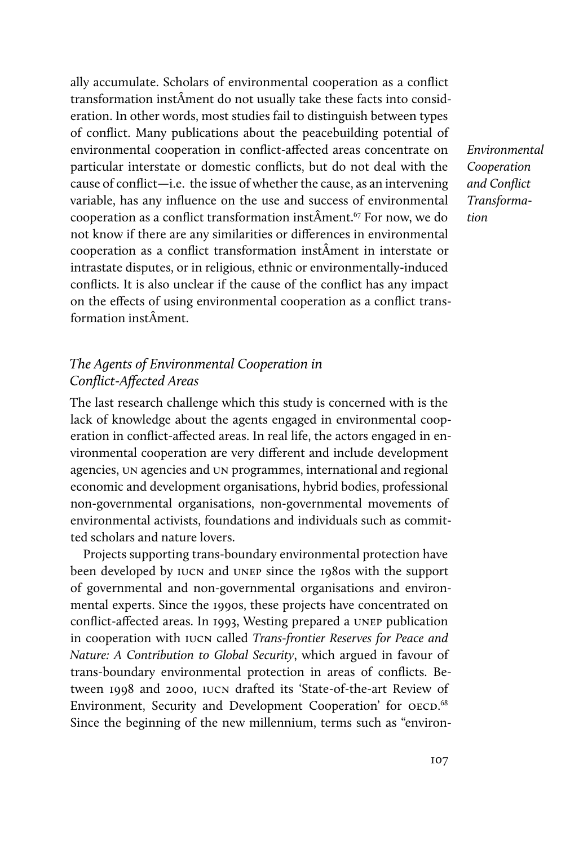ally accumulate. Scholars of environmental cooperation as a conflict transformation instÂment do not usually take these facts into consideration. In other words, most studies fail to distinguish between types of conflict. Many publications about the peacebuilding potential of environmental cooperation in conflict-affected areas concentrate on particular interstate or domestic conflicts, but do not deal with the cause of conflict—i.e. the issue of whether the cause, as an intervening variable, has any influence on the use and success of environmental cooperation as a conflict transformation instÂment.<sup>67</sup> For now, we do not know if there are any similarities or differences in environmental cooperation as a conflict transformation instÂment in interstate or intrastate disputes, or in religious, ethnic or environmentally-induced conflicts. It is also unclear if the cause of the conflict has any impact on the effects of using environmental cooperation as a conflict transformation instÂment.

Environmental Cooperation and Conflict Transformation

## The Agents of Environmental Cooperation in Conflict-Affected Areas

The last research challenge which this study is concerned with is the lack of knowledge about the agents engaged in environmental cooperation in conflict-affected areas. In real life, the actors engaged in environmental cooperation are very different and include development agencies, un agencies and un programmes, international and regional economic and development organisations, hybrid bodies, professional non-governmental organisations, non-governmental movements of environmental activists, foundations and individuals such as committed scholars and nature lovers.

Projects supporting trans-boundary environmental protection have been developed by iucn and unep since the 1980s with the support of governmental and non-governmental organisations and environmental experts. Since the 1990s, these projects have concentrated on conflict-affected areas. In 1993, Westing prepared a unep publication in cooperation with IUCN called Trans-frontier Reserves for Peace and Nature: A Contribution to Global Security, which argued in favour of trans-boundary environmental protection in areas of conflicts. Between 1998 and 2000, iucn drafted its 'State-of-the-art Review of Environment, Security and Development Cooperation' for OECD.<sup>68</sup> Since the beginning of the new millennium, terms such as "environ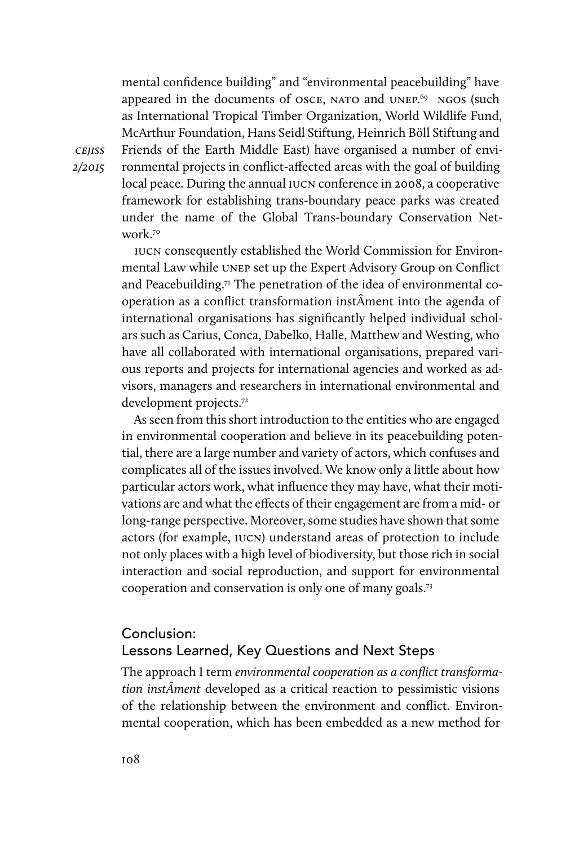mental confidence building" and "environmental peacebuilding" have appeared in the documents of osce, NATO and UNEP.<sup>69</sup> NGOS (such as International Tropical Timber Organization, World Wildlife Fund, McArthur Foundation, Hans Seidl Stiftung, Heinrich Böll Stiftung and Friends of the Earth Middle East) have organised a number of environmental projects in conflict-affected areas with the goal of building local peace. During the annual IUCN conference in 2008, a cooperative framework for establishing trans-boundary peace parks was created under the name of the Global Trans-boundary Conservation Network<sup>70</sup>

iucn consequently established the World Commission for Environmental Law while unep set up the Expert Advisory Group on Conflict and Peacebuilding.71 The penetration of the idea of environmental cooperation as a conflict transformation instÂment into the agenda of international organisations has significantly helped individual scholars such as Carius, Conca, Dabelko, Halle, Matthew and Westing, who have all collaborated with international organisations, prepared various reports and projects for international agencies and worked as advisors, managers and researchers in international environmental and development projects.72

As seen from this short introduction to the entities who are engaged in environmental cooperation and believe in its peacebuilding potential, there are a large number and variety of actors, which confuses and complicates all of the issues involved. We know only a little about how particular actors work, what influence they may have, what their motivations are and what the effects of their engagement are from a mid- or long-range perspective. Moreover, some studies have shown that some actors (for example, iucn) understand areas of protection to include not only places with a high level of biodiversity, but those rich in social interaction and social reproduction, and support for environmental cooperation and conservation is only one of many goals.73

## Conclusion:

## Lessons Learned, Key Questions and Next Steps

The approach I term environmental cooperation as a conflict transformation instÂment developed as a critical reaction to pessimistic visions of the relationship between the environment and conflict. Environmental cooperation, which has been embedded as a new method for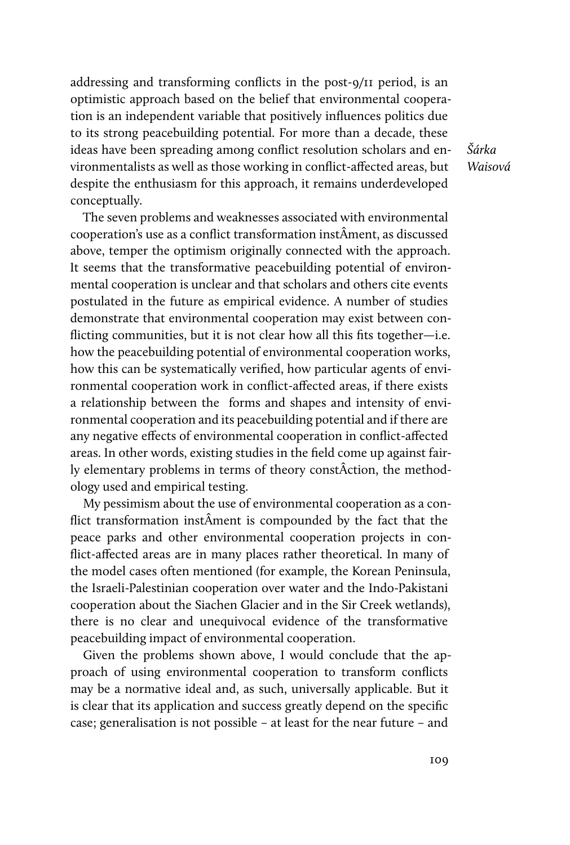addressing and transforming conflicts in the post-9/11 period, is an optimistic approach based on the belief that environmental cooperation is an independent variable that positively influences politics due to its strong peacebuilding potential. For more than a decade, these ideas have been spreading among conflict resolution scholars and environmentalists as well as those working in conflict-affected areas, but despite the enthusiasm for this approach, it remains underdeveloped conceptually.

Šárka Waisová

The seven problems and weaknesses associated with environmental cooperation's use as a conflict transformation instÂment, as discussed above, temper the optimism originally connected with the approach. It seems that the transformative peacebuilding potential of environmental cooperation is unclear and that scholars and others cite events postulated in the future as empirical evidence. A number of studies demonstrate that environmental cooperation may exist between conflicting communities, but it is not clear how all this fits together—i.e. how the peacebuilding potential of environmental cooperation works, how this can be systematically verified, how particular agents of environmental cooperation work in conflict-affected areas, if there exists a relationship between the forms and shapes and intensity of environmental cooperation and its peacebuilding potential and if there are any negative effects of environmental cooperation in conflict-affected areas. In other words, existing studies in the field come up against fairly elementary problems in terms of theory constÂction, the methodology used and empirical testing.

My pessimism about the use of environmental cooperation as a conflict transformation instÂment is compounded by the fact that the peace parks and other environmental cooperation projects in conflict-affected areas are in many places rather theoretical. In many of the model cases often mentioned (for example, the Korean Peninsula, the Israeli-Palestinian cooperation over water and the Indo-Pakistani cooperation about the Siachen Glacier and in the Sir Creek wetlands), there is no clear and unequivocal evidence of the transformative peacebuilding impact of environmental cooperation.

Given the problems shown above, I would conclude that the approach of using environmental cooperation to transform conflicts may be a normative ideal and, as such, universally applicable. But it is clear that its application and success greatly depend on the specific case; generalisation is not possible – at least for the near future – and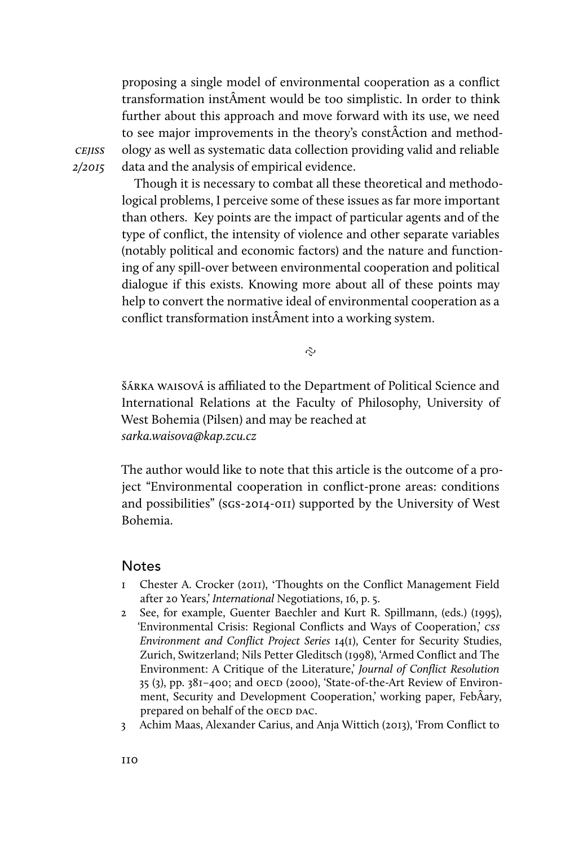proposing a single model of environmental cooperation as a conflict transformation instÂment would be too simplistic. In order to think further about this approach and move forward with its use, we need to see major improvements in the theory's constÂction and methodology as well as systematic data collection providing valid and reliable data and the analysis of empirical evidence.

cejiss 2/2015

> Though it is necessary to combat all these theoretical and methodological problems, I perceive some of these issues as far more important than others. Key points are the impact of particular agents and of the type of conflict, the intensity of violence and other separate variables (notably political and economic factors) and the nature and functioning of any spill-over between environmental cooperation and political dialogue if this exists. Knowing more about all of these points may help to convert the normative ideal of environmental cooperation as a conflict transformation instÂment into a working system.

> > $\tilde{c}$

šárka waisová is afliated to the Department of Political Science and International Relations at the Faculty of Philosophy, University of West Bohemia (Pilsen) and may be reached at sarka.waisova@kap.zcu.cz

The author would like to note that this article is the outcome of a project "Environmental cooperation in conflict-prone areas: conditions and possibilities" (sgs-2014-011) supported by the University of West Bohemia.

## **Notes**

- 1 Chester A. Crocker (2011), 'Thoughts on the Conflict Management Field after 20 Years,' International Negotiations, 16, p. 5.
- 2 See, for example, Guenter Baechler and Kurt R. Spillmann, (eds.) (1995), 'Environmental Crisis: Regional Conflicts and Ways of Cooperation,' css Environment and Conflict Project Series 14(1), Center for Security Studies, Zurich, Switzerland; Nils Petter Gleditsch (1998), 'Armed Conflict and The Environment: A Critique of the Literature,' Journal of Conflict Resolution 35 (3), pp. 381-400; and OECD (2000), 'State-of-the-Art Review of Environment, Security and Development Cooperation,' working paper, FebÂary, prepared on behalf of the OECD DAC.
- 3 Achim Maas, Alexander Carius, and Anja Wittich (2013), 'From Conflict to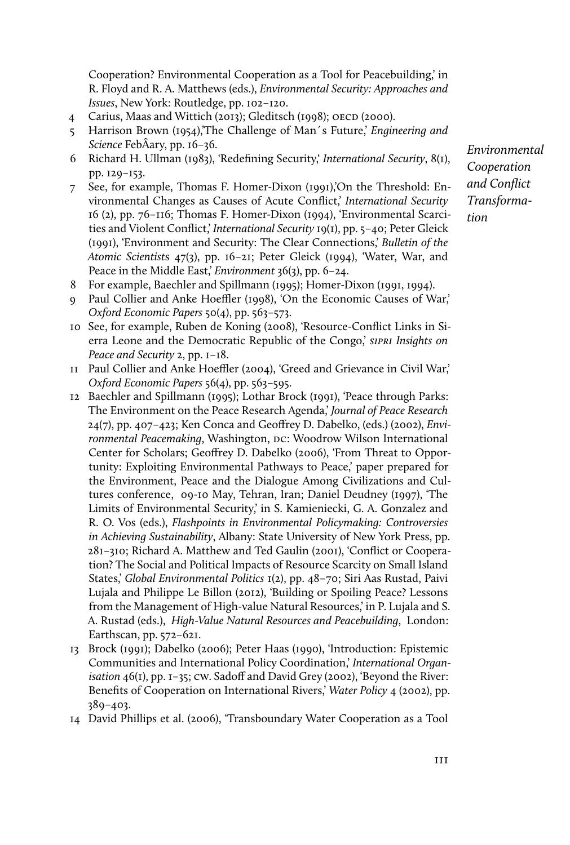Cooperation? Environmental Cooperation as a Tool for Peacebuilding,' in R. Floyd and R. A. Matthews (eds.), Environmental Security: Approaches and Issues, New York: Routledge, pp. 102–120.

- 4 Carius, Maas and Wittich (2013); Gleditsch (1998); OECD (2000).
- 5 Harrison Brown (1954),'The Challenge of Man´s Future,' Engineering and Science FebÂary, pp. 16–36.
- 6 Richard H. Ullman (1983), 'Redefining Security,' International Security, 8(1), pp. 129–153.
- 7 See, for example, Thomas F. Homer-Dixon (1991),'On the Threshold: Environmental Changes as Causes of Acute Conflict,' International Security 16 (2), pp. 76–116; Thomas F. Homer-Dixon (1994), 'Environmental Scarcities and Violent Conflict,' International Security 19(1), pp. 5–40; Peter Gleick (1991), 'Environment and Security: The Clear Connections,' Bulletin of the Atomic Scientists 47(3), pp. 16–21; Peter Gleick (1994), 'Water, War, and Peace in the Middle East,' *Environment* 36(3), pp. 6–24.
- 8 For example, Baechler and Spillmann (1995); Homer-Dixon (1991, 1994).
- 9 Paul Collier and Anke Hoeffler (1998), 'On the Economic Causes of War,' Oxford Economic Papers 50(4), pp. 563–573.
- 10 See, for example, Ruben de Koning (2008), 'Resource-Conflict Links in Sierra Leone and the Democratic Republic of the Congo,' sipri Insights on Peace and Security 2, pp. 1–18.
- 11 Paul Collier and Anke Hoeffler (2004), 'Greed and Grievance in Civil War,' Oxford Economic Papers 56(4), pp. 563–595.
- 12 Baechler and Spillmann (1995); Lothar Brock (1991), 'Peace through Parks: The Environment on the Peace Research Agenda,' Journal of Peace Research 24(7), pp. 407–423; Ken Conca and Geoffrey D. Dabelko, (eds.) (2002), Environmental Peacemaking, Washington, DC: Woodrow Wilson International Center for Scholars; Geoffrey D. Dabelko (2006), 'From Threat to Opportunity: Exploiting Environmental Pathways to Peace,' paper prepared for the Environment, Peace and the Dialogue Among Civilizations and Cultures conference, 09-10 May, Tehran, Iran; Daniel Deudney (1997), 'The Limits of Environmental Security,' in S. Kamieniecki, G. A. Gonzalez and R. O. Vos (eds.), Flashpoints in Environmental Policymaking: Controversies in Achieving Sustainability, Albany: State University of New York Press, pp. 281–310; Richard A. Matthew and Ted Gaulin (2001), 'Conflict or Cooperation? The Social and Political Impacts of Resource Scarcity on Small Island States,' Global Environmental Politics 1(2), pp. 48–70; Siri Aas Rustad, Paivi Lujala and Philippe Le Billon (2012), 'Building or Spoiling Peace? Lessons from the Management of High-value Natural Resources,' in P. Lujala and S. A. Rustad (eds.), High-Value Natural Resources and Peacebuilding, London: Earthscan, pp. 572–621.
- 13 Brock (1991); Dabelko (2006); Peter Haas (1990), 'Introduction: Epistemic Communities and International Policy Coordination,' International Organisation 46(1), pp. 1–35; cw. Sadoff and David Grey (2002), 'Beyond the River: Benefits of Cooperation on International Rivers,' Water Policy 4 (2002), pp. 389–403.
- 14 David Phillips et al. (2006), 'Transboundary Water Cooperation as a Tool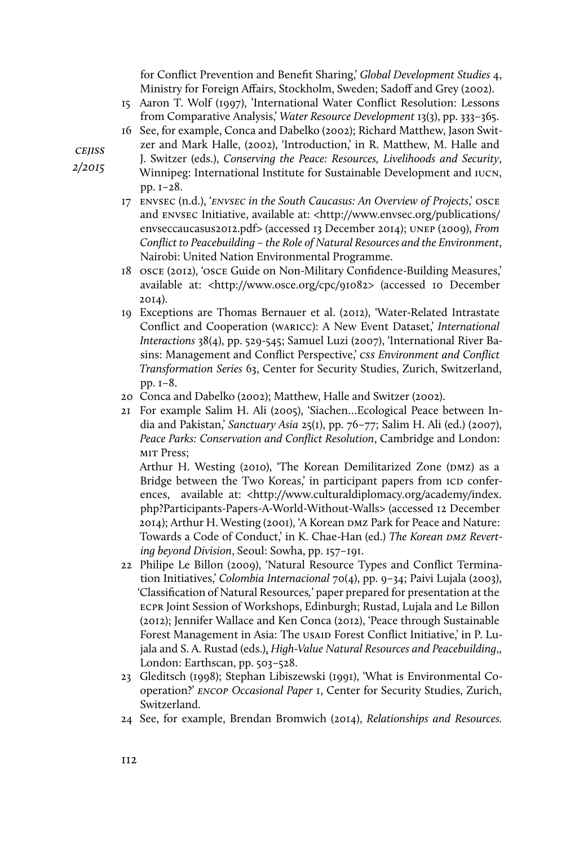for Conflict Prevention and Benefit Sharing,' Global Development Studies 4, Ministry for Foreign Affairs, Stockholm, Sweden; Sadoff and Grey (2002).

- 15 Aaron T. Wolf (1997), 'International Water Conflict Resolution: Lessons from Comparative Analysis,' Water Resource Development 13(3), pp. 333–365.
- 16 See, for example, Conca and Dabelko (2002); Richard Matthew, Jason Switzer and Mark Halle, (2002), 'Introduction,' in R. Matthew, M. Halle and

**CEJISS** 2/2015

- J. Switzer (eds.), Conserving the Peace: Resources, Livelihoods and Security, Winnipeg: International Institute for Sustainable Development and iucn, pp. 1–28.
- 17 envsec (n.d.), 'envsec in the South Caucasus: An Overview of Projects,' osce and envsec Initiative, available at: <http://www.envsec.org/publications/ envseccaucasus2012.pdf> (accessed 13 December 2014); unep (2009), From Conflict to Peacebuilding – the Role of Natural Resources and the Environment, Nairobi: United Nation Environmental Programme.
- 18 osce (2012), 'osce Guide on Non-Military Confidence-Building Measures,' available at: <http://www.osce.org/cpc/91082> (accessed 10 December  $2.014$ ).
- 19 Exceptions are Thomas Bernauer et al. (2012), 'Water-Related Intrastate Conflict and Cooperation (WARICC): A New Event Dataset,' International Interactions 38(4), pp. 529-545; Samuel Luzi (2007), 'International River Basins: Management and Conflict Perspective,' css Environment and Conflict Transformation Series 63, Center for Security Studies, Zurich, Switzerland, pp. 1–8.
- 20 Conca and Dabelko (2002); Matthew, Halle and Switzer (2002).
- 21 For example Salim H. Ali (2005), 'Siachen…Ecological Peace between India and Pakistan,' Sanctuary Asia 25(1), pp. 76–77; Salim H. Ali (ed.) (2007), Peace Parks: Conservation and Conflict Resolution, Cambridge and London: MIT Press:

Arthur H. Westing (2010), 'The Korean Demilitarized Zone (DMZ) as a Bridge between the Two Koreas,' in participant papers from ICD conferences, available at: <http://www.culturaldiplomacy.org/academy/index. php?Participants-Papers-A-World-Without-Walls> (accessed 12 December 2014); Arthur H. Westing (2001), 'A Korean DMZ Park for Peace and Nature: Towards a Code of Conduct,' in K. Chae-Han (ed.) The Korean DMZ Reverting beyond Division, Seoul: Sowha, pp. 157–191.

- 22 Philipe Le Billon (2009), 'Natural Resource Types and Conflict Termination Initiatives,' Colombia Internacional 70(4), pp. 9-34; Paivi Lujala (2003), 'Classification of Natural Resources,' paper prepared for presentation at the ecpr Joint Session of Workshops, Edinburgh; Rustad, Lujala and Le Billon (2012); Jennifer Wallace and Ken Conca (2012), 'Peace through Sustainable Forest Management in Asia: The USAID Forest Conflict Initiative,' in P. Lujala and S. A. Rustad (eds.), High-Value Natural Resources and Peacebuilding,, London: Earthscan, pp. 503–528.
- 23 Gleditsch (1998); Stephan Libiszewski (1991), 'What is Environmental Cooperation?' encop Occasional Paper 1, Center for Security Studies, Zurich, Switzerland.
- 24 See, for example, Brendan Bromwich (2014), Relationships and Resources.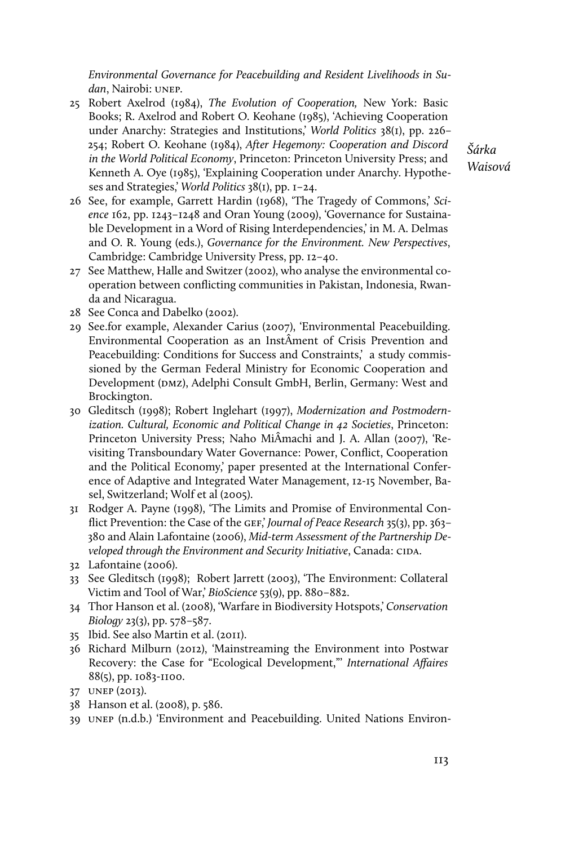Environmental Governance for Peacebuilding and Resident Livelihoods in Sudan, Nairobi: UNEP.

- 25 Robert Axelrod (1984), The Evolution of Cooperation, New York: Basic Books; R. Axelrod and Robert O. Keohane (1985), 'Achieving Cooperation under Anarchy: Strategies and Institutions,' World Politics 38(1), pp. 226– 254; Robert O. Keohane (1984), After Hegemony: Cooperation and Discord in the World Political Economy, Princeton: Princeton University Press; and Kenneth A. Oye (1985), 'Explaining Cooperation under Anarchy. Hypotheses and Strategies,' World Politics 38(1), pp. 1–24.
- 26 See, for example, Garrett Hardin (1968), 'The Tragedy of Commons,' Science 162, pp. 1243–1248 and Oran Young (2009), 'Governance for Sustainable Development in a Word of Rising Interdependencies,' in M. A. Delmas and O. R. Young (eds.), Governance for the Environment. New Perspectives, Cambridge: Cambridge University Press, pp. 12–40.
- 27 See Matthew, Halle and Switzer (2002), who analyse the environmental cooperation between conflicting communities in Pakistan, Indonesia, Rwanda and Nicaragua.
- 28 See Conca and Dabelko (2002).
- 29 See.for example, Alexander Carius (2007), 'Environmental Peacebuilding. Environmental Cooperation as an InstÂment of Crisis Prevention and Peacebuilding: Conditions for Success and Constraints,' a study commissioned by the German Federal Ministry for Economic Cooperation and Development (DMZ), Adelphi Consult GmbH, Berlin, Germany: West and Brockington.
- 30 Gleditsch (1998); Robert Inglehart (1997), Modernization and Postmodernization. Cultural, Economic and Political Change in 42 Societies, Princeton: Princeton University Press; Naho MiÂmachi and J. A. Allan (2007), 'Revisiting Transboundary Water Governance: Power, Conflict, Cooperation and the Political Economy,' paper presented at the International Conference of Adaptive and Integrated Water Management, 12-15 November, Basel, Switzerland; Wolf et al (2005).
- 31 Rodger A. Payne (1998), 'The Limits and Promise of Environmental Conflict Prevention: the Case of the GEF,' Journal of Peace Research 35(3), pp. 363– 380 and Alain Lafontaine (2006), Mid-term Assessment of the Partnership Developed through the Environment and Security Initiative, Canada: CIDA.
- 32 Lafontaine (2006).
- 33 See Gleditsch (1998); Robert Jarrett (2003), 'The Environment: Collateral Victim and Tool of War,' BioScience 53(9), pp. 880–882.
- 34 Thor Hanson et al. (2008), 'Warfare in Biodiversity Hotspots,' Conservation Biology 23(3), pp. 578–587.
- 35 Ibid. See also Martin et al. (2011).
- 36 Richard Milburn (2012), 'Mainstreaming the Environment into Postwar Recovery: the Case for "Ecological Development,"' International Affaires 88(5), pp. 1083-1100.
- 37 unep (2013).
- 38 Hanson et al. (2008), p. 586.
- 39 unep (n.d.b.) 'Environment and Peacebuilding. United Nations Environ-

Šárka Waisová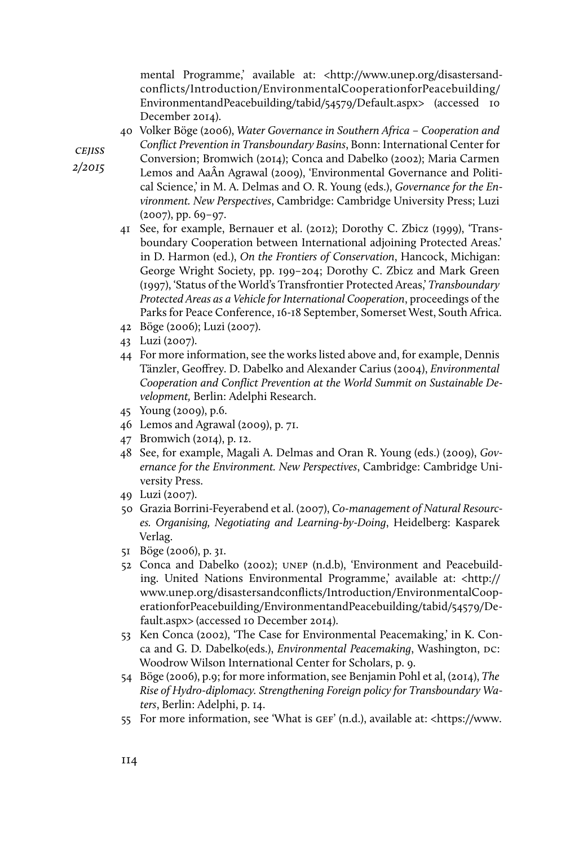mental Programme,' available at: <http://www.unep.org/disastersandconflicts/Introduction/EnvironmentalCooperationforPeacebuilding/ EnvironmentandPeacebuilding/tabid/54579/Default.aspx> (accessed 10 December 2014).

40 Volker Böge (2006), Water Governance in Southern Africa – Cooperation and Conflict Prevention in Transboundary Basins, Bonn: International Center for

**CEJISS** 2/2015

- Conversion; Bromwich (2014); Conca and Dabelko (2002); Maria Carmen Lemos and AaÂn Agrawal (2009), 'Environmental Governance and Political Science,' in M. A. Delmas and O. R. Young (eds.), Governance for the Environment. New Perspectives, Cambridge: Cambridge University Press; Luzi (2007), pp. 69–97.
	- 41 See, for example, Bernauer et al. (2012); Dorothy C. Zbicz (1999), 'Transboundary Cooperation between International adjoining Protected Areas.' in D. Harmon (ed.), On the Frontiers of Conservation, Hancock, Michigan: George Wright Society, pp. 199–204; Dorothy C. Zbicz and Mark Green (1997), 'Status of the World's Transfrontier Protected Areas,' Transboundary Protected Areas as a Vehicle for International Cooperation, proceedings of the Parks for Peace Conference, 16-18 September, Somerset West, South Africa.
	- 42 Böge (2006); Luzi (2007).
	- 43 Luzi (2007).
	- 44 For more information, see the works listed above and, for example, Dennis Tänzler, Geoffrey. D. Dabelko and Alexander Carius (2004), Environmental Cooperation and Conflict Prevention at the World Summit on Sustainable Development, Berlin: Adelphi Research.
	- 45 Young (2009), p.6.
	- 46 Lemos and Agrawal (2009), p. 71.
	- 47 Bromwich (2014), p. 12.
	- 48 See, for example, Magali A. Delmas and Oran R. Young (eds.) (2009), Governance for the Environment. New Perspectives, Cambridge: Cambridge University Press.
	- 49 Luzi (2007).
	- 50 Grazia Borrini-Feyerabend et al. (2007), Co-management of Natural Resources. Organising, Negotiating and Learning-by-Doing, Heidelberg: Kasparek Verlag.
	- 51 Böge (2006), p. 31.
	- 52 Conca and Dabelko (2002); unep (n.d.b), 'Environment and Peacebuilding. United Nations Environmental Programme,' available at: <http:// www.unep.org/disastersandconflicts/Introduction/EnvironmentalCooperationforPeacebuilding/EnvironmentandPeacebuilding/tabid/54579/Default.aspx> (accessed 10 December 2014).
	- 53 Ken Conca (2002), 'The Case for Environmental Peacemaking,' in K. Conca and G. D. Dabelko(eds.), *Environmental Peacemaking*, Washington, DC: Woodrow Wilson International Center for Scholars, p. 9.
	- 54 Böge (2006), p.9; for more information, see Benjamin Pohl et al, (2014), The Rise of Hydro-diplomacy. Strengthening Foreign policy for Transboundary Waters, Berlin: Adelphi, p. 14.
	- 55 For more information, see 'What is gef' (n.d.), available at: <https://www.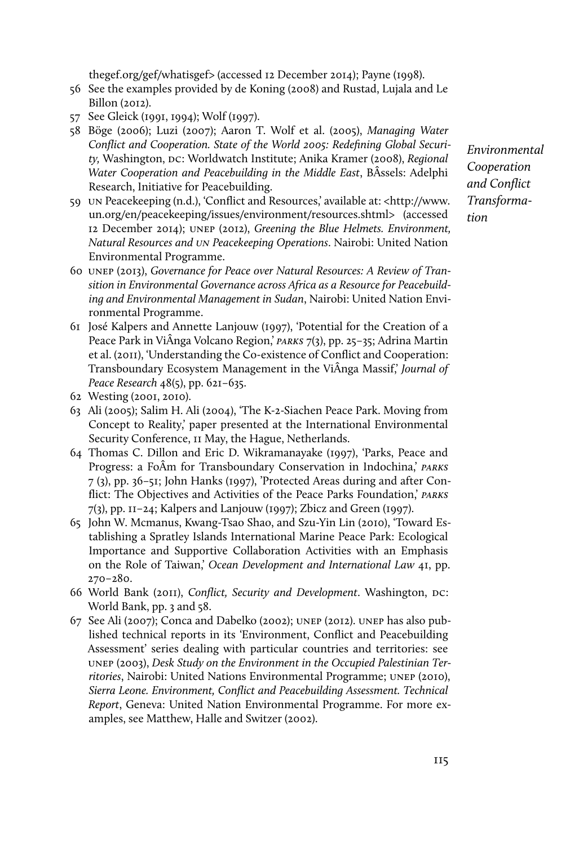thegef.org/gef/whatisgef> (accessed 12 December 2014); Payne (1998).

- 56 See the examples provided by de Koning (2008) and Rustad, Lujala and Le Billon (2012).
- 57 See Gleick (1991, 1994); Wolf (1997).
- 58 Böge (2006); Luzi (2007); Aaron T. Wolf et al. (2005), Managing Water Conflict and Cooperation. State of the World 2005: Redefining Global Security, Washington, pc: Worldwatch Institute; Anika Kramer (2008), Regional Water Cooperation and Peacebuilding in the Middle East, BÂssels: Adelphi Research, Initiative for Peacebuilding.
- 59 un Peacekeeping (n.d.), 'Conflict and Resources,' available at: <http://www. un.org/en/peacekeeping/issues/environment/resources.shtml> (accessed 12 December 2014); unep (2012), Greening the Blue Helmets. Environment, Natural Resources and un Peacekeeping Operations. Nairobi: United Nation Environmental Programme.
- 60 unep (2013), Governance for Peace over Natural Resources: A Review of Transition in Environmental Governance across Africa as a Resource for Peacebuilding and Environmental Management in Sudan, Nairobi: United Nation Environmental Programme.
- 61 José Kalpers and Annette Lanjouw (1997), 'Potential for the Creation of a Peace Park in ViÂnga Volcano Region,' parks 7(3), pp. 25–35; Adrina Martin et al. (2011), 'Understanding the Co-existence of Conflict and Cooperation: Transboundary Ecosystem Management in the ViÂnga Massif,' Journal of Peace Research 48(5), pp. 621–635.
- 62 Westing (2001, 2010).
- 63 Ali (2005); Salim H. Ali (2004), 'The K-2-Siachen Peace Park. Moving from Concept to Reality,' paper presented at the International Environmental Security Conference, 11 May, the Hague, Netherlands.
- 64 Thomas C. Dillon and Eric D. Wikramanayake (1997), 'Parks, Peace and Progress: a FoÂm for Transboundary Conservation in Indochina,' parks 7 (3), pp. 36–51; John Hanks (1997), 'Protected Areas during and after Conflict: The Objectives and Activities of the Peace Parks Foundation,' PARKS 7(3), pp. 11–24; Kalpers and Lanjouw (1997); Zbicz and Green (1997).
- 65 John W. Mcmanus, Kwang-Tsao Shao, and Szu-Yin Lin (2010), 'Toward Establishing a Spratley Islands International Marine Peace Park: Ecological Importance and Supportive Collaboration Activities with an Emphasis on the Role of Taiwan,' Ocean Development and International Law 41, pp. 270–280.
- 66 World Bank (2011), Conflict, Security and Development. Washington, DC: World Bank, pp. 3 and 58.
- 67 See Ali (2007); Conca and Dabelko (2002); unep (2012). unep has also published technical reports in its 'Environment, Conflict and Peacebuilding Assessment' series dealing with particular countries and territories: see unep (2003), Desk Study on the Environment in the Occupied Palestinian Territories, Nairobi: United Nations Environmental Programme; unep (2010), Sierra Leone. Environment, Conflict and Peacebuilding Assessment. Technical Report, Geneva: United Nation Environmental Programme. For more examples, see Matthew, Halle and Switzer (2002).